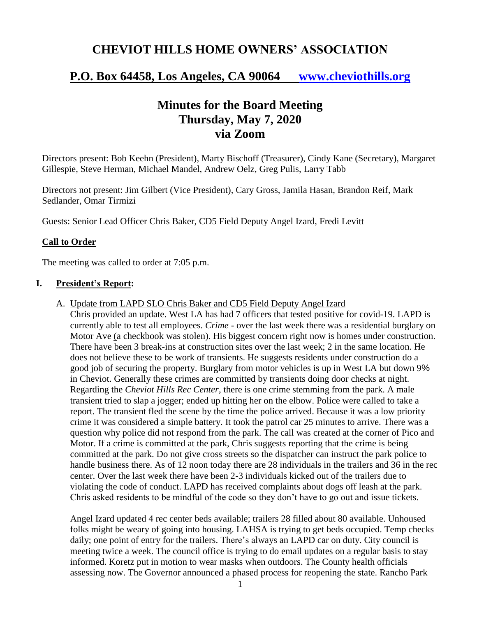# **CHEVIOT HILLS HOME OWNERS' ASSOCIATION**

# **P.O. Box 64458, Los Angeles, CA 90064 [www.cheviothills.org](http://www.cheviothills.org/)**

# **Minutes for the Board Meeting Thursday, May 7, 2020 via Zoom**

Directors present: Bob Keehn (President), Marty Bischoff (Treasurer), Cindy Kane (Secretary), Margaret Gillespie, Steve Herman, Michael Mandel, Andrew Oelz, Greg Pulis, Larry Tabb

Directors not present: Jim Gilbert (Vice President), Cary Gross, Jamila Hasan, Brandon Reif, Mark Sedlander, Omar Tirmizi

Guests: Senior Lead Officer Chris Baker, CD5 Field Deputy Angel Izard, Fredi Levitt

### **Call to Order**

The meeting was called to order at 7:05 p.m.

#### **I. President's Report:**

A. Update from LAPD SLO Chris Baker and CD5 Field Deputy Angel Izard

Chris provided an update. West LA has had 7 officers that tested positive for covid-19. LAPD is currently able to test all employees. *Crime* - over the last week there was a residential burglary on Motor Ave (a checkbook was stolen). His biggest concern right now is homes under construction. There have been 3 break-ins at construction sites over the last week; 2 in the same location. He does not believe these to be work of transients. He suggests residents under construction do a good job of securing the property. Burglary from motor vehicles is up in West LA but down 9% in Cheviot. Generally these crimes are committed by transients doing door checks at night. Regarding the *Cheviot Hills Rec Center*, there is one crime stemming from the park. A male transient tried to slap a jogger; ended up hitting her on the elbow. Police were called to take a report. The transient fled the scene by the time the police arrived. Because it was a low priority crime it was considered a simple battery. It took the patrol car 25 minutes to arrive. There was a question why police did not respond from the park. The call was created at the corner of Pico and Motor. If a crime is committed at the park, Chris suggests reporting that the crime is being committed at the park. Do not give cross streets so the dispatcher can instruct the park police to handle business there. As of 12 noon today there are 28 individuals in the trailers and 36 in the rec center. Over the last week there have been 2-3 individuals kicked out of the trailers due to violating the code of conduct. LAPD has received complaints about dogs off leash at the park. Chris asked residents to be mindful of the code so they don't have to go out and issue tickets.

Angel Izard updated 4 rec center beds available; trailers 28 filled about 80 available. Unhoused folks might be weary of going into housing. LAHSA is trying to get beds occupied. Temp checks daily; one point of entry for the trailers. There's always an LAPD car on duty. City council is meeting twice a week. The council office is trying to do email updates on a regular basis to stay informed. Koretz put in motion to wear masks when outdoors. The County health officials assessing now. The Governor announced a phased process for reopening the state. Rancho Park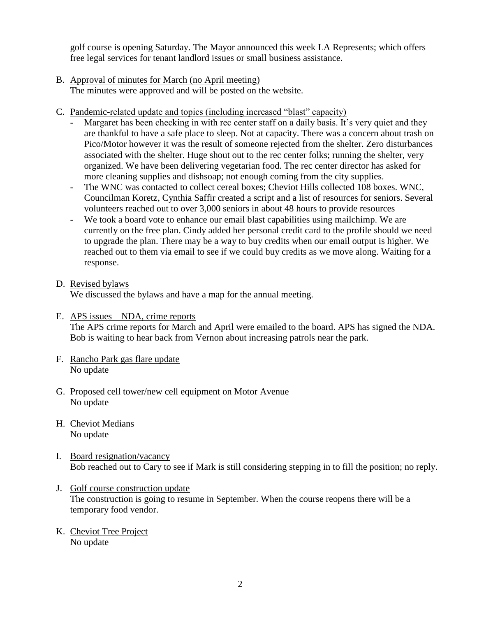golf course is opening Saturday. The Mayor announced this week LA Represents; which offers free legal services for tenant landlord issues or small business assistance.

- B. Approval of minutes for March (no April meeting) The minutes were approved and will be posted on the website.
- C. Pandemic-related update and topics (including increased "blast" capacity)
	- Margaret has been checking in with rec center staff on a daily basis. It's very quiet and they are thankful to have a safe place to sleep. Not at capacity. There was a concern about trash on Pico/Motor however it was the result of someone rejected from the shelter. Zero disturbances associated with the shelter. Huge shout out to the rec center folks; running the shelter, very organized. We have been delivering vegetarian food. The rec center director has asked for more cleaning supplies and dishsoap; not enough coming from the city supplies.
	- The WNC was contacted to collect cereal boxes; Cheviot Hills collected 108 boxes. WNC, Councilman Koretz, Cynthia Saffir created a script and a list of resources for seniors. Several volunteers reached out to over 3,000 seniors in about 48 hours to provide resources
	- We took a board vote to enhance our email blast capabilities using mailchimp. We are currently on the free plan. Cindy added her personal credit card to the profile should we need to upgrade the plan. There may be a way to buy credits when our email output is higher. We reached out to them via email to see if we could buy credits as we move along. Waiting for a response.

## D. Revised bylaws

We discussed the bylaws and have a map for the annual meeting.

E. APS issues – NDA, crime reports

The APS crime reports for March and April were emailed to the board. APS has signed the NDA. Bob is waiting to hear back from Vernon about increasing patrols near the park.

- F. Rancho Park gas flare update No update
- G. Proposed cell tower/new cell equipment on Motor Avenue No update
- H. Cheviot Medians No update
- I. Board resignation/vacancy Bob reached out to Cary to see if Mark is still considering stepping in to fill the position; no reply.
- J. Golf course construction update The construction is going to resume in September. When the course reopens there will be a temporary food vendor.
- K. Cheviot Tree Project No update